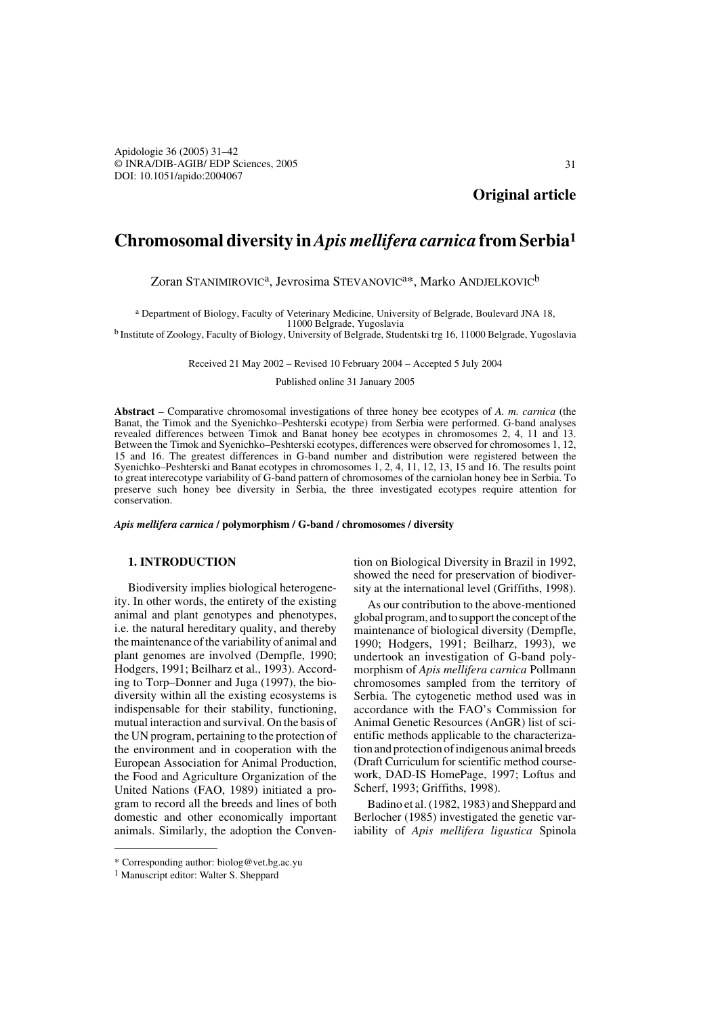Apidologie 36 (2005) 31–42 © INRA/DIB-AGIB/ EDP Sciences, 2005 DOI: 10.1051/apido:2004067

**Original article**

# **Chromosomal diversity in** *Apis mellifera carnica* **from Serbia1**

Zoran STANIMIROVIC<sup>a</sup>, Jevrosima STEVANOVIC<sup>a\*</sup>, Marko ANDJELKOVIC<sup>b</sup>

a Department of Biology, Faculty of Veterinary Medicine, University of Belgrade, Boulevard JNA 18,

<sup>b</sup> Institute of Zoology, Faculty of Biology, University of Belgrade, Studentski trg 16, 11000 Belgrade, Yugoslavia

Received 21 May 2002 – Revised 10 February 2004 – Accepted 5 July 2004

Published online 31 January 2005

**Abstract** – Comparative chromosomal investigations of three honey bee ecotypes of *A. m. carnica* (the Banat, the Timok and the Syenichko–Peshterski ecotype) from Serbia were performed. G-band analyses revealed differences between Timok and Banat honey bee ecotypes in chromosomes 2, 4, 11 and 13. Between the Timok and Syenichko–Peshterski ecotypes, differences were observed for chromosomes 1, 12, 15 and 16. The greatest differences in G-band number and distribution were registered between the Syenichko–Peshterski and Banat ecotypes in chromosomes 1, 2, 4, 11, 12, 13, 15 and 16. The results point to great interecotype variability of G-band pattern of chromosomes of the carniolan honey bee in Serbia. To preserve such honey bee diversity in Serbia, the three investigated ecotypes require attention for conservation.

*Apis mellifera carnica* **/ polymorphism / G-band / chromosomes / diversity**

# **1. INTRODUCTION**

Biodiversity implies biological heterogeneity. In other words, the entirety of the existing animal and plant genotypes and phenotypes, i.e. the natural hereditary quality, and thereby the maintenance of the variability of animal and plant genomes are involved (Dempfle, 1990; Hodgers, 1991; Beilharz et al., 1993). According to Torp–Donner and Juga (1997), the biodiversity within all the existing ecosystems is indispensable for their stability, functioning, mutual interaction and survival. On the basis of the UN program, pertaining to the protection of the environment and in cooperation with the European Association for Animal Production, the Food and Agriculture Organization of the United Nations (FAO, 1989) initiated a program to record all the breeds and lines of both domestic and other economically important animals. Similarly, the adoption the Convention on Biological Diversity in Brazil in 1992, showed the need for preservation of biodiversity at the international level (Griffiths, 1998).

As our contribution to the above-mentioned global program, and to support the concept of the maintenance of biological diversity (Dempfle, 1990; Hodgers, 1991; Beilharz, 1993), we undertook an investigation of G-band polymorphism of *Apis mellifera carnica* Pollmann chromosomes sampled from the territory of Serbia. The cytogenetic method used was in accordance with the FAO's Commission for Animal Genetic Resources (AnGR) list of scientific methods applicable to the characterization and protection of indigenous animal breeds (Draft Curriculum for scientific method coursework, DAD-IS HomePage, 1997; Loftus and Scherf, 1993; Griffiths, 1998).

Badino et al. (1982, 1983) and Sheppard and Berlocher (1985) investigated the genetic variability of *Apis mellifera ligustica* Spinola

<sup>\*</sup> Corresponding author: biolog@vet.bg.ac.yu

<sup>1</sup> Manuscript editor: Walter S. Sheppard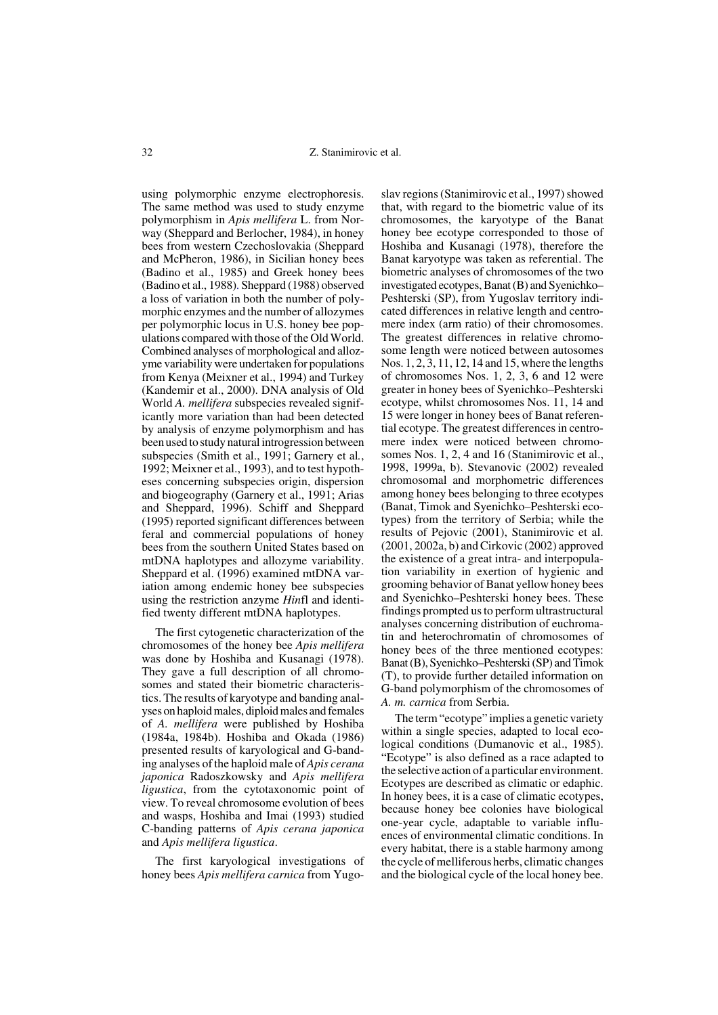32 Z. Stanimirovic et al.

using polymorphic enzyme electrophoresis. The same method was used to study enzyme polymorphism in *Apis mellifera* L. from Norway (Sheppard and Berlocher, 1984), in honey bees from western Czechoslovakia (Sheppard and McPheron, 1986), in Sicilian honey bees (Badino et al., 1985) and Greek honey bees (Badino et al., 1988). Sheppard (1988) observed a loss of variation in both the number of polymorphic enzymes and the number of allozymes per polymorphic locus in U.S. honey bee populations compared with those of the Old World. Combined analyses of morphological and allozyme variability were undertaken for populations from Kenya (Meixner et al., 1994) and Turkey (Kandemir et al., 2000). DNA analysis of Old World *A. mellifera* subspecies revealed significantly more variation than had been detected by analysis of enzyme polymorphism and has been used to study natural introgression between subspecies (Smith et al., 1991; Garnery et al*.*, 1992; Meixner et al., 1993), and to test hypotheses concerning subspecies origin, dispersion and biogeography (Garnery et al., 1991; Arias and Sheppard, 1996). Schiff and Sheppard (1995) reported significant differences between feral and commercial populations of honey bees from the southern United States based on mtDNA haplotypes and allozyme variability. Sheppard et al. (1996) examined mtDNA variation among endemic honey bee subspecies using the restriction anzyme *Hin*fl and identified twenty different mtDNA haplotypes.

The first cytogenetic characterization of the chromosomes of the honey bee *Apis mellifera* was done by Hoshiba and Kusanagi (1978). They gave a full description of all chromosomes and stated their biometric characteristics. The results of karyotype and banding analyses on haploid males, diploid males and females of *A. mellifera* were published by Hoshiba (1984a, 1984b). Hoshiba and Okada (1986) presented results of karyological and G-banding analyses of the haploid male of *Apis cerana japonica* Radoszkowsky and *Apis mellifera ligustica*, from the cytotaxonomic point of view. To reveal chromosome evolution of bees and wasps, Hoshiba and Imai (1993) studied C-banding patterns of *Apis cerana japonica* and *Apis mellifera ligustica*.

The first karyological investigations of honey bees *Apis mellifera carnica* from Yugoslav regions (Stanimirovic et al., 1997) showed that, with regard to the biometric value of its chromosomes, the karyotype of the Banat honey bee ecotype corresponded to those of Hoshiba and Kusanagi (1978), therefore the Banat karyotype was taken as referential. The biometric analyses of chromosomes of the two investigated ecotypes, Banat (B) and Syenichko– Peshterski (SP), from Yugoslav territory indicated differences in relative length and centromere index (arm ratio) of their chromosomes. The greatest differences in relative chromosome length were noticed between autosomes Nos. 1, 2, 3, 11, 12, 14 and 15, where the lengths of chromosomes Nos. 1, 2, 3, 6 and 12 were greater in honey bees of Syenichko–Peshterski ecotype, whilst chromosomes Nos. 11, 14 and 15 were longer in honey bees of Banat referential ecotype. The greatest differences in centromere index were noticed between chromosomes Nos. 1, 2, 4 and 16 (Stanimirovic et al., 1998, 1999a, b). Stevanovic (2002) revealed chromosomal and morphometric differences among honey bees belonging to three ecotypes (Banat, Timok and Syenichko–Peshterski ecotypes) from the territory of Serbia; while the results of Pejovic (2001), Stanimirovic et al. (2001, 2002a, b) and Cirkovic (2002) approved the existence of a great intra- and interpopulation variability in exertion of hygienic and grooming behavior of Banat yellow honey bees and Syenichko–Peshterski honey bees. These findings prompted us to perform ultrastructural analyses concerning distribution of euchromatin and heterochromatin of chromosomes of honey bees of the three mentioned ecotypes: Banat (B), Syenichko–Peshterski (SP) and Timok (T), to provide further detailed information on G-band polymorphism of the chromosomes of *A. m. carnica* from Serbia.

The term "ecotype" implies a genetic variety within a single species, adapted to local ecological conditions (Dumanovic et al., 1985). "Ecotype" is also defined as a race adapted to the selective action of a particular environment. Ecotypes are described as climatic or edaphic. In honey bees, it is a case of climatic ecotypes, because honey bee colonies have biological one-year cycle, adaptable to variable influences of environmental climatic conditions. In every habitat, there is a stable harmony among the cycle of melliferous herbs, climatic changes and the biological cycle of the local honey bee.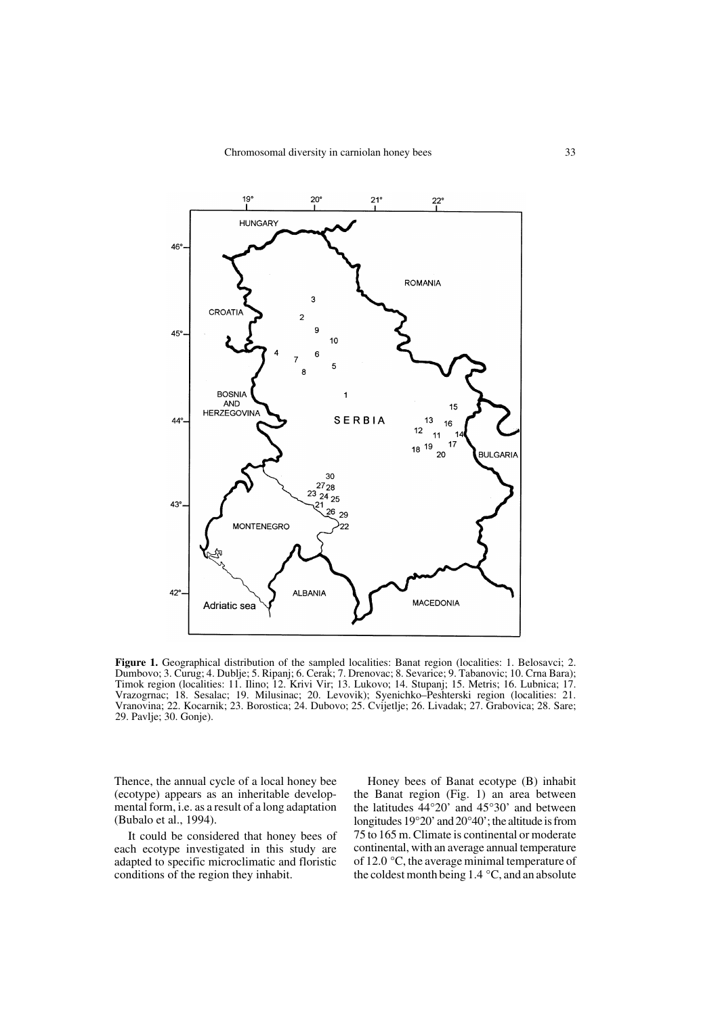

**Figure 1.** Geographical distribution of the sampled localities: Banat region (localities: 1. Belosavci; 2. Dumbovo; 3. Curug; 4. Dublje; 5. Ripanj; 6. Cerak; 7. Drenovac; 8. Sevarice; 9. Tabanovic; 10. Crna Bara); Timok region (localities: 11. Ilino; 12. Krivi Vir; 13. Lukovo; 14. Stupanj; 15. Metris; 16. Lubnica; 17. Vrazogrnac; 18. Sesalac; 19. Milusinac; 20. Levovik); Syenichko–Peshterski region (localities: 21. Vranovina; 22. Kocarnik; 23. Borostica; 24. Dubovo; 25. Cvijetlje; 26. Livadak; 27. Grabovica; 28. Sare; 29. Pavlje; 30. Gonje).

Thence, the annual cycle of a local honey bee (ecotype) appears as an inheritable developmental form, i.e. as a result of a long adaptation (Bubalo et al., 1994).

It could be considered that honey bees of each ecotype investigated in this study are adapted to specific microclimatic and floristic conditions of the region they inhabit.

Honey bees of Banat ecotype (B) inhabit the Banat region (Fig. 1) an area between the latitudes 44°20' and 45°30' and between longitudes 19°20' and 20°40'; the altitude is from 75 to 165 m. Climate is continental or moderate continental, with an average annual temperature of 12.0 °C, the average minimal temperature of the coldest month being 1.4 °C, and an absolute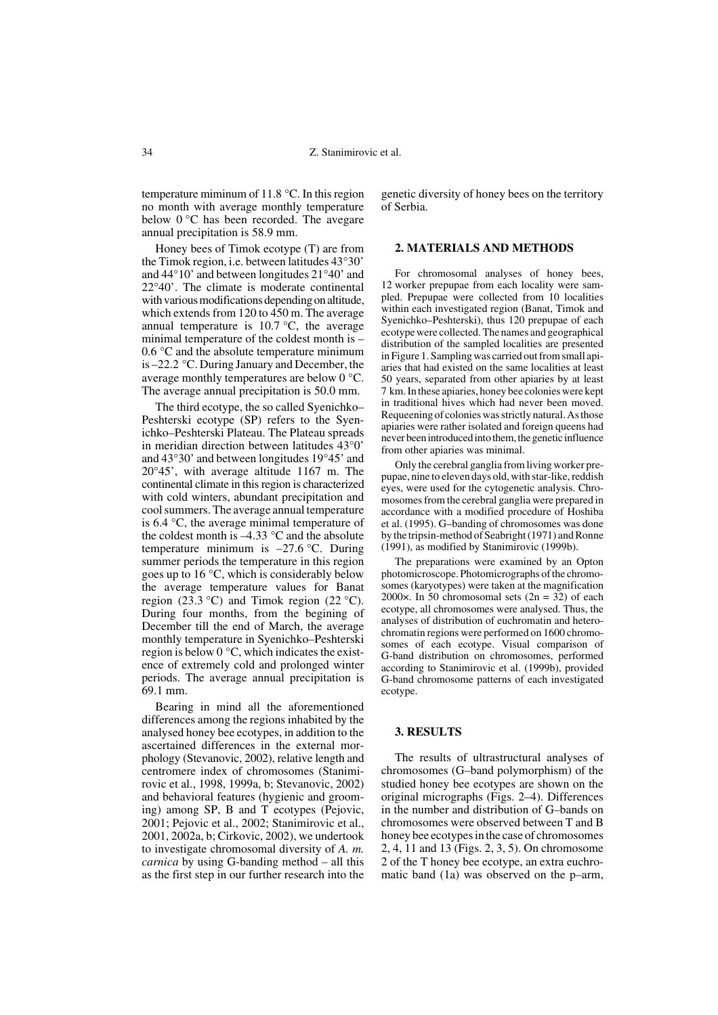temperature miminum of 11.8 °C. In this region no month with average monthly temperature below 0 °C has been recorded. The avegare annual precipitation is 58.9 mm.

Honey bees of Timok ecotype (T) are from the Timok region, i.e. between latitudes 43°30' and 44°10' and between longitudes 21°40' and 22°40'. The climate is moderate continental with various modifications depending on altitude, which extends from 120 to 450 m. The average annual temperature is  $10.7 \degree C$ , the average minimal temperature of the coldest month is – 0.6 °C and the absolute temperature minimum is –22.2 °C. During January and December, the average monthly temperatures are below 0 °C. The average annual precipitation is 50.0 mm.

The third ecotype, the so called Syenichko– Peshterski ecotype (SP) refers to the Syenichko–Peshterski Plateau. The Plateau spreads in meridian direction between latitudes 43°0' and 43°30' and between longitudes 19°45' and 20°45', with average altitude 1167 m. The continental climate in this region is characterized with cold winters, abundant precipitation and cool summers. The average annual temperature is 6.4 °C, the average minimal temperature of the coldest month is  $-4.33$  °C and the absolute temperature minimum is  $-27.6$  °C. During summer periods the temperature in this region goes up to 16 °C, which is considerably below the average temperature values for Banat region (23.3 °C) and Timok region (22 °C). During four months, from the begining of December till the end of March, the average monthly temperature in Syenichko–Peshterski region is below 0 °C, which indicates the existence of extremely cold and prolonged winter periods. The average annual precipitation is 69.1 mm.

Bearing in mind all the aforementioned differences among the regions inhabited by the analysed honey bee ecotypes, in addition to the ascertained differences in the external morphology (Stevanovic, 2002), relative length and centromere index of chromosomes (Stanimirovic et al., 1998, 1999a, b; Stevanovic, 2002) and behavioral features (hygienic and grooming) among SP, B and T ecotypes (Pejovic, 2001; Pejovic et al., 2002; Stanimirovic et al., 2001, 2002a, b; Cirkovic, 2002), we undertook to investigate chromosomal diversity of *A. m. carnica* by using G-banding method – all this as the first step in our further research into the genetic diversity of honey bees on the territory of Serbia.

### **2. MATERIALS AND METHODS**

For chromosomal analyses of honey bees, 12 worker prepupae from each locality were sampled. Prepupae were collected from 10 localities within each investigated region (Banat, Timok and Syenichko–Peshterski), thus 120 prepupae of each ecotype were collected.The names and geographical distribution of the sampled localities are presented in Figure 1. Sampling was carried out from small apiaries that had existed on the same localities at least 50 years, separated from other apiaries by at least 7 km. In these apiaries, honey bee colonies were kept in traditional hives which had never been moved. Requeening of colonies was strictly natural. As those apiaries were rather isolated and foreign queens had never been introduced into them, the genetic influence from other apiaries was minimal.

Only the cerebral ganglia from living worker prepupae, nine to eleven days old, with star-like, reddish eyes, were used for the cytogenetic analysis. Chromosomes from the cerebral ganglia were prepared in accordance with a modified procedure of Hoshiba et al. (1995). G–banding of chromosomes was done by the tripsin-method of Seabright (1971) and Ronne (1991), as modified by Stanimirovic (1999b).

The preparations were examined by an Opton photomicroscope. Photomicrographs of the chromosomes (karyotypes) were taken at the magnification 2000 $\times$ . In 50 chromosomal sets (2n = 32) of each ecotype, all chromosomes were analysed. Thus, the analyses of distribution of euchromatin and heterochromatin regions were performed on 1600 chromosomes of each ecotype. Visual comparison of G-band distribution on chromosomes, performed according to Stanimirovic et al. (1999b), provided G-band chromosome patterns of each investigated ecotype.

## **3. RESULTS**

The results of ultrastructural analyses of chromosomes (G–band polymorphism) of the studied honey bee ecotypes are shown on the original micrographs (Figs. 2–4). Differences in the number and distribution of G–bands on chromosomes were observed between T and B honey bee ecotypes in the case of chromosomes 2, 4, 11 and 13 (Figs. 2, 3, 5). On chromosome 2 of the T honey bee ecotype, an extra euchromatic band (1a) was observed on the p–arm,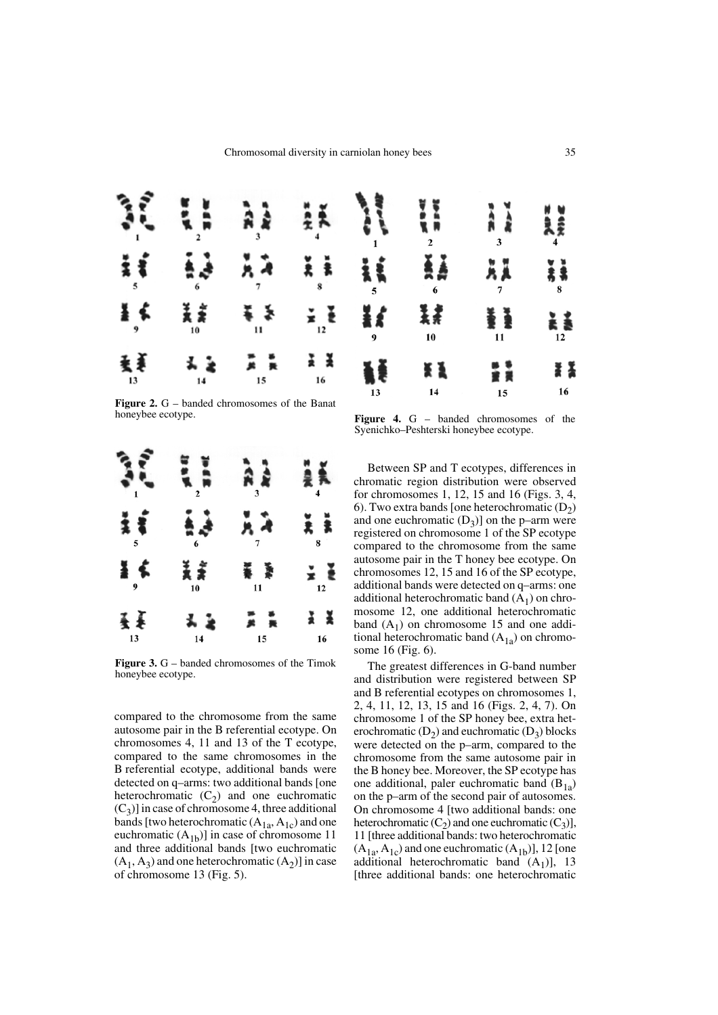

**Figure 2.** G – banded chromosomes of the Banat honeybee ecotype.



**Figure 3.** G – banded chromosomes of the Timok honeybee ecotype.

compared to the chromosome from the same autosome pair in the B referential ecotype. On chromosomes 4, 11 and 13 of the T ecotype, compared to the same chromosomes in the B referential ecotype, additional bands were detected on q–arms: two additional bands [one heterochromatic  $(C_2)$  and one euchromatic  $(C_3)$ ] in case of chromosome 4, three additional bands [two heterochromatic  $(A_{1a}, A_{1c})$  and one euchromatic  $(A_{1b})$ ] in case of chromosome 11 and three additional bands [two euchromatic  $(A_1, A_3)$  and one heterochromatic  $(A_2)$ ] in case of chromosome 13 (Fig. 5).

**Figure 4.** G – banded chromosomes of the Syenichko–Peshterski honeybee ecotype.

15

 $10$ 

14

13

Between SP and T ecotypes, differences in chromatic region distribution were observed for chromosomes 1, 12, 15 and 16 (Figs. 3, 4, 6). Two extra bands [one heterochromatic  $(D_2)$ and one euchromatic  $(D_3)$ ] on the p–arm were registered on chromosome 1 of the SP ecotype compared to the chromosome from the same autosome pair in the T honey bee ecotype. On chromosomes 12, 15 and 16 of the SP ecotype, additional bands were detected on q–arms: one additional heterochromatic band  $(A_1)$  on chromosome 12, one additional heterochromatic band  $(A_1)$  on chromosome 15 and one additional heterochromatic band  $(A_{1a})$  on chromosome 16 (Fig. 6).

The greatest differences in G-band number and distribution were registered between SP and B referential ecotypes on chromosomes 1, 2, 4, 11, 12, 13, 15 and 16 (Figs. 2, 4, 7). On chromosome 1 of the SP honey bee, extra heterochromatic  $(D_2)$  and euchromatic  $(D_3)$  blocks were detected on the p–arm, compared to the chromosome from the same autosome pair in the B honey bee. Moreover, the SP ecotype has one additional, paler euchromatic band  $(B_{1a})$ on the p–arm of the second pair of autosomes. On chromosome 4 [two additional bands: one heterochromatic  $(C_2)$  and one euchromatic  $(C_3)$ ], 11 [three additional bands: two heterochromatic  $(A_{1a}, A_{1c})$  and one euchromatic  $(A_{1b})$ ], 12 [one additional heterochromatic band  $(A_1)$ ], 13 [three additional bands: one heterochromatic

II

16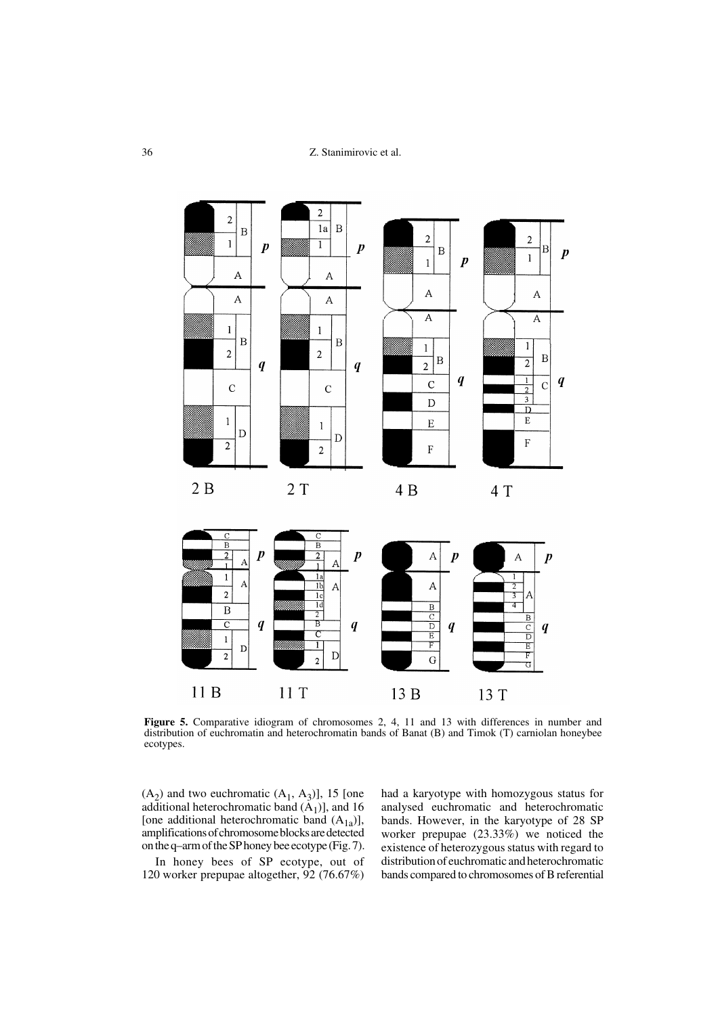

**Figure 5.** Comparative idiogram of chromosomes 2, 4, 11 and 13 with differences in number and distribution of euchromatin and heterochromatin bands of Banat (B) and Timok (T) carniolan honeybee ecotypes.

 $(A_2)$  and two euchromatic  $(A_1, A_3)$ ], 15 [one additional heterochromatic band  $(A_1)$ ], and 16 [one additional heterochromatic band  $(A_{1a})$ ], amplifications of chromosome blocks are detected on the q–arm of the SP honey bee ecotype (Fig. 7).

In honey bees of SP ecotype, out of 120 worker prepupae altogether, 92 (76.67%)

had a karyotype with homozygous status for analysed euchromatic and heterochromatic bands. However, in the karyotype of 28 SP worker prepupae (23.33%) we noticed the existence of heterozygous status with regard to distribution of euchromatic and heterochromatic bands compared to chromosomes of B referential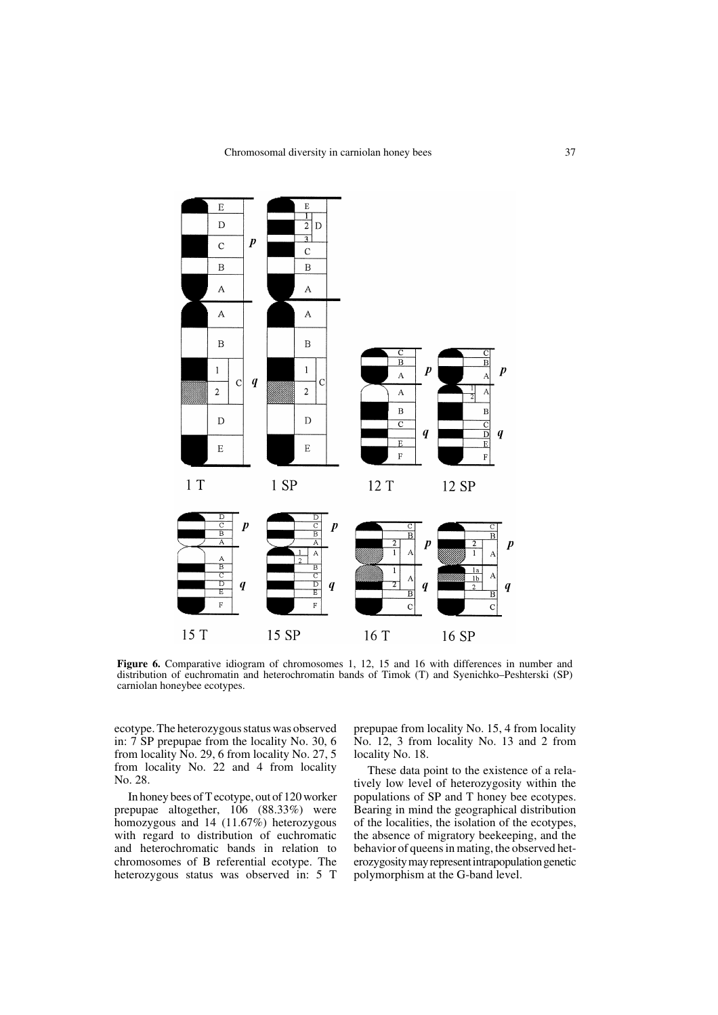

**Figure 6.** Comparative idiogram of chromosomes 1, 12, 15 and 16 with differences in number and distribution of euchromatin and heterochromatin bands of Timok (T) and Syenichko–Peshterski (SP) carniolan honeybee ecotypes.

ecotype. The heterozygous status was observed in: 7 SP prepupae from the locality No. 30, 6 from locality No. 29, 6 from locality No. 27, 5 from locality No. 22 and 4 from locality No. 28.

In honey bees of T ecotype, out of 120 worker prepupae altogether, 106 (88.33%) were homozygous and 14 (11.67%) heterozygous with regard to distribution of euchromatic and heterochromatic bands in relation to chromosomes of B referential ecotype. The heterozygous status was observed in: 5 T

prepupae from locality No. 15, 4 from locality No. 12, 3 from locality No. 13 and 2 from locality No. 18.

These data point to the existence of a relatively low level of heterozygosity within the populations of SP and T honey bee ecotypes. Bearing in mind the geographical distribution of the localities, the isolation of the ecotypes, the absence of migratory beekeeping, and the behavior of queens in mating, the observed heterozygosity may represent intrapopulation genetic polymorphism at the G-band level.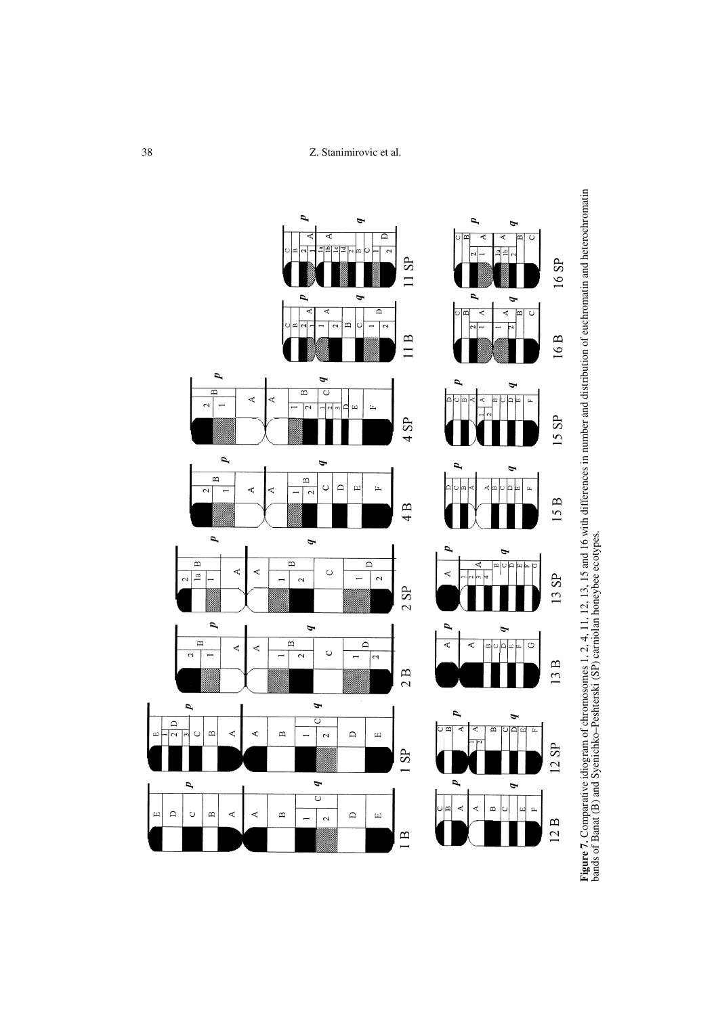38 Z. Stanimirovic et al.



Figure 7. Comparative idiogram of chromosomes 1, 2, 4, 11, 12, 13, 15 and 16 with differences in number and distribution of euchromatin and heterochromatin<br>bands of Banat (B) and Syenichko-Peshterski (SP) carniolan honeybe **Figure 7.** Comparative idiogram of chromosomes 1, 2, 4, 11, 12, 13, 15 and 16 with differences in number and distribution of euchromatin and heterochromatin bands of Banat (B) and Syenichko–Peshterski (SP) carniolan honeybee ecotypes.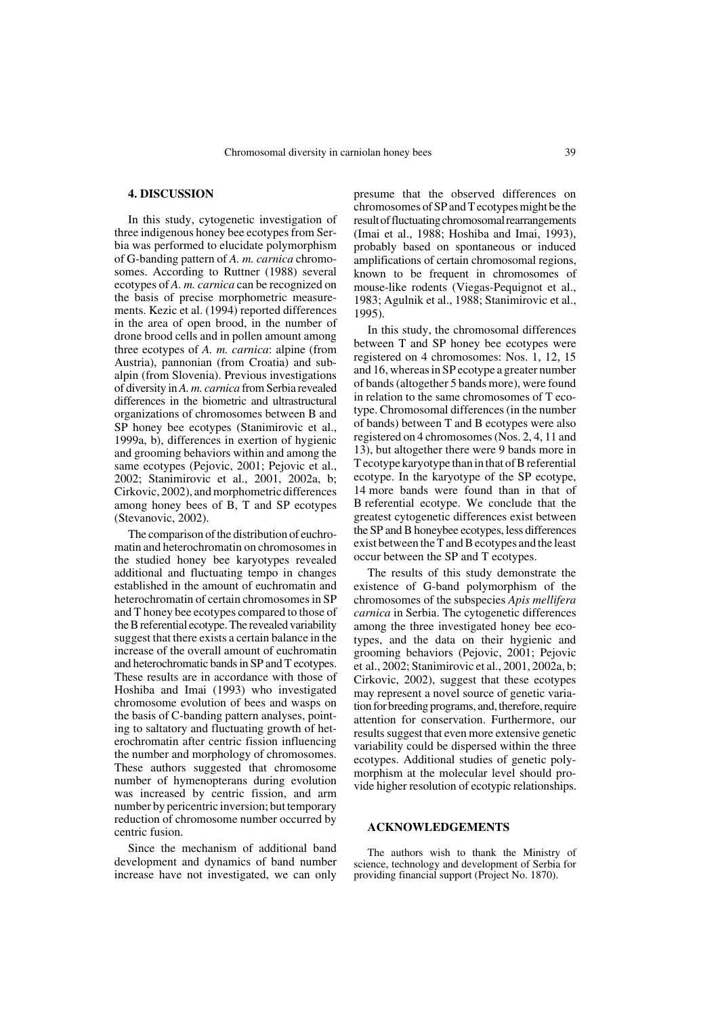# **4. DISCUSSION**

In this study, cytogenetic investigation of three indigenous honey bee ecotypes from Serbia was performed to elucidate polymorphism of G-banding pattern of *A. m. carnica* chromosomes. According to Ruttner (1988) several ecotypes of *A. m. carnica* can be recognized on the basis of precise morphometric measurements. Kezic et al. (1994) reported differences in the area of open brood, in the number of drone brood cells and in pollen amount among three ecotypes of *A. m. carnica*: alpine (from Austria), pannonian (from Croatia) and subalpin (from Slovenia). Previous investigations of diversity in *A. m. carnica* from Serbia revealed differences in the biometric and ultrastructural organizations of chromosomes between B and SP honey bee ecotypes (Stanimirovic et al., 1999a, b), differences in exertion of hygienic and grooming behaviors within and among the same ecotypes (Pejovic, 2001; Pejovic et al., 2002; Stanimirovic et al., 2001, 2002a, b; Cirkovic, 2002), and morphometric differences among honey bees of B, T and SP ecotypes (Stevanovic, 2002).

The comparison of the distribution of euchromatin and heterochromatin on chromosomes in the studied honey bee karyotypes revealed additional and fluctuating tempo in changes established in the amount of euchromatin and heterochromatin of certain chromosomes in SP and T honey bee ecotypes compared to those of the B referential ecotype. The revealed variability suggest that there exists a certain balance in the increase of the overall amount of euchromatin and heterochromatic bands in SP and T ecotypes. These results are in accordance with those of Hoshiba and Imai (1993) who investigated chromosome evolution of bees and wasps on the basis of C-banding pattern analyses, pointing to saltatory and fluctuating growth of heterochromatin after centric fission influencing the number and morphology of chromosomes. These authors suggested that chromosome number of hymenopterans during evolution was increased by centric fission, and arm number by pericentric inversion; but temporary reduction of chromosome number occurred by centric fusion.

Since the mechanism of additional band development and dynamics of band number increase have not investigated, we can only

presume that the observed differences on chromosomes of SP and T ecotypes might be the result of fluctuating chromosomal rearrangements (Imai et al., 1988; Hoshiba and Imai, 1993), probably based on spontaneous or induced amplifications of certain chromosomal regions, known to be frequent in chromosomes of mouse-like rodents (Viegas-Pequignot et al., 1983; Agulnik et al., 1988; Stanimirovic et al., 1995).

In this study, the chromosomal differences between T and SP honey bee ecotypes were registered on 4 chromosomes: Nos. 1, 12, 15 and 16, whereas in SP ecotype a greater number of bands (altogether 5 bands more), were found in relation to the same chromosomes of T ecotype. Chromosomal differences (in the number of bands) between T and B ecotypes were also registered on 4 chromosomes (Nos. 2, 4, 11 and 13), but altogether there were 9 bands more in T ecotype karyotype than in that of B referential ecotype. In the karyotype of the SP ecotype, 14 more bands were found than in that of B referential ecotype. We conclude that the greatest cytogenetic differences exist between the SP and B honeybee ecotypes, less differences exist between the T and B ecotypes and the least occur between the SP and T ecotypes.

The results of this study demonstrate the existence of G-band polymorphism of the chromosomes of the subspecies *Apis mellifera carnica* in Serbia. The cytogenetic differences among the three investigated honey bee ecotypes, and the data on their hygienic and grooming behaviors (Pejovic, 2001; Pejovic et al., 2002; Stanimirovic et al., 2001, 2002a, b; Cirkovic, 2002), suggest that these ecotypes may represent a novel source of genetic variation for breeding programs, and, therefore, require attention for conservation. Furthermore, our results suggest that even more extensive genetic variability could be dispersed within the three ecotypes. Additional studies of genetic polymorphism at the molecular level should provide higher resolution of ecotypic relationships.

#### **ACKNOWLEDGEMENTS**

The authors wish to thank the Ministry of science, technology and development of Serbia for providing financial support (Project No. 1870).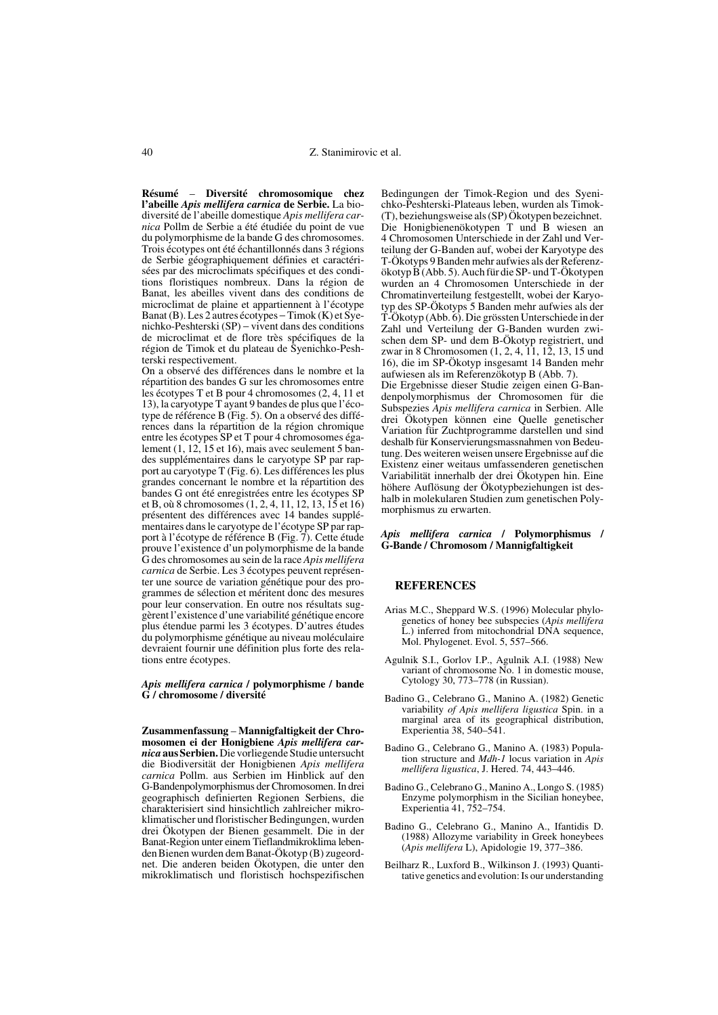**Résumé** – **Diversité chromosomique chez l'abeille** *Apis mellifera carnica* **de Serbie.** La biodiversité de l'abeille domestique *Apis mellifera carnica* Pollm de Serbie a été étudiée du point de vue du polymorphisme de la bande G des chromosomes. Trois écotypes ont été échantillonnés dans 3 régions de Serbie géographiquement définies et caractérisées par des microclimats spécifiques et des conditions floristiques nombreux. Dans la région de Banat, les abeilles vivent dans des conditions de microclimat de plaine et appartiennent à l'écotype Banat (B). Les 2 autres écotypes − Timok (K) et Syenichko-Peshterski (SP) − vivent dans des conditions de microclimat et de flore très spécifiques de la région de Timok et du plateau de Syenichko-Peshterski respectivement.

On a observé des différences dans le nombre et la répartition des bandes G sur les chromosomes entre les écotypes T et B pour 4 chromosomes (2, 4, 11 et 13), la caryotype T ayant 9 bandes de plus que l'écotype de référence B (Fig. 5). On a observé des différences dans la répartition de la région chromique entre les écotypes SP et T pour 4 chromosomes également (1, 12, 15 et 16), mais avec seulement 5 bandes supplémentaires dans le caryotype SP par rapport au caryotype T (Fig. 6). Les différences les plus grandes concernant le nombre et la répartition des bandes G ont été enregistrées entre les écotypes SP et B, où 8 chromosomes (1, 2, 4, 11, 12, 13, 15 et 16) présentent des différences avec 14 bandes supplémentaires dans le caryotype de l'écotype SP par rapport à l'écotype de référence B (Fig. 7). Cette étude prouve l'existence d'un polymorphisme de la bande G des chromosomes au sein de la race *Apis mellifera carnica* de Serbie. Les 3 écotypes peuvent représenter une source de variation génétique pour des programmes de sélection et méritent donc des mesures pour leur conservation. En outre nos résultats suggèrent l'existence d'une variabilité génétique encore plus étendue parmi les 3 écotypes. D'autres études du polymorphisme génétique au niveau moléculaire devraient fournir une définition plus forte des relations entre écotypes.

*Apis mellifera carnica* **/ polymorphisme / bande G / chromosome / diversité** 

**Zusammenfassung** – **Mannigfaltigkeit der Chromosomen ei der Honigbiene** *Apis mellifera carnica* **aus Serbien.** Die vorliegende Studie untersucht die Biodiversität der Honigbienen *Apis mellifera carnica* Pollm. aus Serbien im Hinblick auf den G-Bandenpolymorphismus der Chromosomen. In drei geographisch definierten Regionen Serbiens, die charakterisiert sind hinsichtlich zahlreicher mikroklimatischer und floristischer Bedingungen, wurden drei Ökotypen der Bienen gesammelt. Die in der Banat-Region unter einem Tieflandmikroklima lebenden Bienen wurden dem Banat-Ökotyp (B) zugeordnet. Die anderen beiden Ökotypen, die unter den mikroklimatisch und floristisch hochspezifischen

Bedingungen der Timok-Region und des Syenichko-Peshterski-Plateaus leben, wurden als Timok- (T), beziehungsweise als (SP) Ökotypen bezeichnet. Die Honigbienenökotypen T und B wiesen an 4 Chromosomen Unterschiede in der Zahl und Verteilung der G-Banden auf, wobei der Karyotype des T-Ökotyps 9 Banden mehr aufwies als der Referenzökotyp B (Abb. 5). Auch für die SP- und T-Ökotypen wurden an 4 Chromosomen Unterschiede in der Chromatinverteilung festgestellt, wobei der Karyotyp des SP-Ökotyps 5 Banden mehr aufwies als der T-Ökotyp (Abb. 6). Die grössten Unterschiede in der Zahl und Verteilung der G-Banden wurden zwischen dem SP- und dem B-Ökotyp registriert, und zwar in 8 Chromosomen (1, 2, 4, 11, 12, 13, 15 und 16), die im SP-Ökotyp insgesamt 14 Banden mehr aufwiesen als im Referenzökotyp B (Abb. 7). Die Ergebnisse dieser Studie zeigen einen G-Bandenpolymorphismus der Chromosomen für die Subspezies *Apis mellifera carnica* in Serbien. Alle drei Ökotypen können eine Quelle genetischer Variation für Zuchtprogramme darstellen und sind deshalb für Konservierungsmassnahmen von Bedeutung. Des weiteren weisen unsere Ergebnisse auf die Existenz einer weitaus umfassenderen genetischen Variabilität innerhalb der drei Ökotypen hin. Eine höhere Auflösung der Ökotypbeziehungen ist deshalb in molekularen Studien zum genetischen Polymorphismus zu erwarten.

### *Apis mellifera carnica* **/ Polymorphismus / G-Bande / Chromosom / Mannigfaltigkeit**

#### **REFERENCES**

- Arias M.C., Sheppard W.S. (1996) Molecular phylogenetics of honey bee subspecies (*Apis mellifera* L.) inferred from mitochondrial DNA sequence, Mol. Phylogenet. Evol. 5, 557–566.
- Agulnik S.I., Gorlov I.P., Agulnik A.I. (1988) New variant of chromosome No. 1 in domestic mouse, Cytology 30, 773–778 (in Russian).
- Badino G., Celebrano G., Manino A. (1982) Genetic variability *of Apis mellifera ligustica* Spin. in a marginal area of its geographical distribution, Experientia 38, 540–541.
- Badino G., Celebrano G., Manino A. (1983) Population structure and *Mdh-1* locus variation in *Apis mellifera ligustica*, J. Hered. 74, 443–446.
- Badino G., Celebrano G., Manino A., Longo S. (1985) Enzyme polymorphism in the Sicilian honeybee, Experientia 41, 752–754.
- Badino G., Celebrano G., Manino A., Ifantidis D. (1988) Allozyme variability in Greek honeybees (*Apis mellifera* L), Apidologie 19, 377–386.
- Beilharz R., Luxford B., Wilkinson J. (1993) Quantitative genetics and evolution: Is our understanding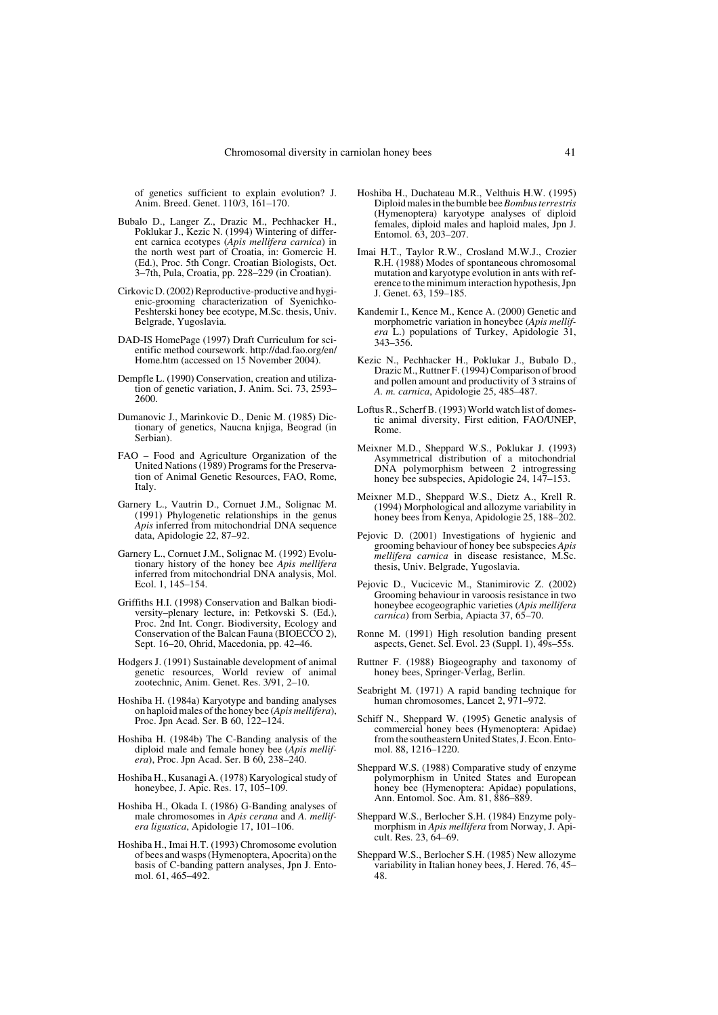of genetics sufficient to explain evolution? J. Anim. Breed. Genet. 110/3, 161–170.

- Bubalo D., Langer Z., Drazic M., Pechhacker H., Poklukar J., Kezic N. (1994) Wintering of different carnica ecotypes (*Apis mellifera carnica*) in the north west part of Croatia, in: Gomercic H. (Ed.), Proc. 5th Congr. Croatian Biologists, Oct. 3–7th, Pula, Croatia, pp. 228–229 (in Croatian).
- Cirkovic D. (2002) Reproductive-productive and hygienic-grooming characterization of Syenichko-Peshterski honey bee ecotype, M.Sc. thesis, Univ. Belgrade, Yugoslavia.
- DAD-IS HomePage (1997) Draft Curriculum for scientific method coursework. http://dad.fao.org/en/ Home.htm (accessed on 15 November 2004).
- Dempfle L. (1990) Conservation, creation and utilization of genetic variation, J. Anim. Sci. 73, 2593– 2600.
- Dumanovic J., Marinkovic D., Denic M. (1985) Dictionary of genetics, Naucna knjiga, Beograd (in Serbian).
- FAO Food and Agriculture Organization of the United Nations (1989) Programs for the Preservation of Animal Genetic Resources, FAO, Rome, Italy.
- Garnery L., Vautrin D., Cornuet J.M., Solignac M. (1991) Phylogenetic relationships in the genus *Apis* inferred from mitochondrial DNA sequence data, Apidologie 22, 87–92.
- Garnery L., Cornuet J.M., Solignac M. (1992) Evolutionary history of the honey bee *Apis mellifera* inferred from mitochondrial DNA analysis, Mol. Ecol. 1, 145–154.
- Griffiths H.I. (1998) Conservation and Balkan biodiversity–plenary lecture, in: Petkovski S. (Ed.), Proc. 2nd Int. Congr. Biodiversity, Ecology and Conservation of the Balcan Fauna (BIOECCO 2), Sept. 16–20, Ohrid, Macedonia, pp. 42–46.
- Hodgers J. (1991) Sustainable development of animal genetic resources, World review of animal zootechnic, Anim. Genet. Res. 3/91, 2–10.
- Hoshiba H. (1984a) Karyotype and banding analyses on haploid males of the honey bee (*Apis mellifera*), Proc. Jpn Acad. Ser. B 60, 122–124.
- Hoshiba H. (1984b) The C-Banding analysis of the diploid male and female honey bee (*Apis mellifera*), Proc. Jpn Acad. Ser. B 60, 238-240.
- Hoshiba H., Kusanagi A. (1978) Karyological study of honeybee, J. Apic. Res. 17, 105–109.
- Hoshiba H., Okada I. (1986) G-Banding analyses of male chromosomes in *Apis cerana* and *A. mellifera ligustica*, Apidologie 17, 101–106.
- Hoshiba H., Imai H.T. (1993) Chromosome evolution of bees and wasps (Hymenoptera, Apocrita) on the basis of C-banding pattern analyses, Jpn J. Entomol. 61, 465–492.
- Hoshiba H., Duchateau M.R., Velthuis H.W. (1995) Diploid males in the bumble bee *Bombus terrestris* (Hymenoptera) karyotype analyses of diploid females, diploid males and haploid males, Jpn J. Entomol. 63, 203–207.
- Imai H.T., Taylor R.W., Crosland M.W.J., Crozier R.H. (1988) Modes of spontaneous chromosomal mutation and karyotype evolution in ants with reference to the minimum interaction hypothesis, Jpn J. Genet. 63, 159–185.
- Kandemir I., Kence M., Kence A. (2000) Genetic and morphometric variation in honeybee (*Apis mellifera* L.) populations of Turkey, Apidologie 31, 343–356.
- Kezic N., Pechhacker H., Poklukar J., Bubalo D., Drazic M., Ruttner F. (1994) Comparison of brood and pollen amount and productivity of 3 strains of *A. m. carnica*, Apidologie 25, 485–487.
- Loftus R., Scherf B. (1993) World watch list of domestic animal diversity, First edition, FAO/UNEP, Rome.
- Meixner M.D., Sheppard W.S., Poklukar J. (1993) Asymmetrical distribution of a mitochondrial DNA polymorphism between 2 introgressing honey bee subspecies, Apidologie 24, 147–153.
- Meixner M.D., Sheppard W.S., Dietz A., Krell R. (1994) Morphological and allozyme variability in honey bees from Kenya, Apidologie 25, 188–202.
- Pejovic D. (2001) Investigations of hygienic and grooming behaviour of honey bee subspecies *Apis mellifera carnica* in disease resistance, M.Sc. thesis, Univ. Belgrade, Yugoslavia.
- Pejovic D., Vucicevic M., Stanimirovic Z. (2002) Grooming behaviour in varoosis resistance in two honeybee ecogeographic varieties (*Apis mellifera carnica*) from Serbia, Apiacta 37, 65–70.
- Ronne M. (1991) High resolution banding present aspects, Genet. Sel. Evol. 23 (Suppl. 1), 49s–55s.
- Ruttner F. (1988) Biogeography and taxonomy of honey bees, Springer-Verlag, Berlin.
- Seabright M. (1971) A rapid banding technique for human chromosomes, Lancet 2, 971–972.
- Schiff N., Sheppard W. (1995) Genetic analysis of commercial honey bees (Hymenoptera: Apidae) from the southeastern United States, J. Econ. Entomol. 88, 1216–1220.
- Sheppard W.S. (1988) Comparative study of enzyme polymorphism in United States and European honey bee (Hymenoptera: Apidae) populations, Ann. Entomol. Soc. Am. 81, 886–889.
- Sheppard W.S., Berlocher S.H. (1984) Enzyme polymorphism in *Apis mellifera* from Norway, J. Apicult. Res. 23, 64–69.
- Sheppard W.S., Berlocher S.H. (1985) New allozyme variability in Italian honey bees, J. Hered. 76, 45– 48.